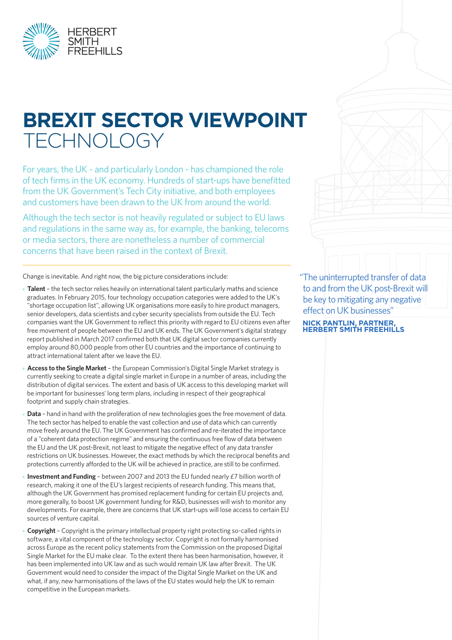

# **BREXIT SECTOR VIEWPOINT TECHNOLOGY**

For years, the UK - and particularly London - has championed the role of tech firms in the UK economy. Hundreds of start-ups have benefitted from the UK Government's Tech City initiative, and both employees and customers have been drawn to the UK from around the world.

Although the tech sector is not heavily regulated or subject to EU laws and regulations in the same way as, for example, the banking, telecoms or media sectors, there are nonetheless a number of commercial concerns that have been raised in the context of Brexit.

Change is inevitable. And right now, the big picture considerations include:

- **Talent** the tech sector relies heavily on international talent particularly maths and science graduates. In February 2015, four technology occupation categories were added to the UK's "shortage occupation list", allowing UK organisations more easily to hire product managers, senior developers, data scientists and cyber security specialists from outside the EU. Tech companies want the UK Government to reflect this priority with regard to EU citizens even after free movement of people between the EU and UK ends. The UK Government's digital strategy report published in March 2017 confirmed both that UK digital sector companies currently employ around 80,000 people from other EU countries and the importance of continuing to attract international talent after we leave the EU.
- **Access to the Single Market** the European Commission's Digital Single Market strategy is currently seeking to create a digital single market in Europe in a number of areas, including the distribution of digital services. The extent and basis of UK access to this developing market will be important for businesses' long term plans, including in respect of their geographical footprint and supply chain strategies.
- **Data** hand in hand with the proliferation of new technologies goes the free movement of data. The tech sector has helped to enable the vast collection and use of data which can currently move freely around the EU. The UK Government has confirmed and re-iterated the importance of a "coherent data protection regime" and ensuring the continuous free flow of data between the EU and the UK post-Brexit, not least to mitigate the negative effect of any data transfer restrictions on UK businesses. However, the exact methods by which the reciprocal benefits and protections currently afforded to the UK will be achieved in practice, are still to be confirmed.
- **Investment and Funding** between 2007 and 2013 the EU funded nearly £7 billion worth of research, making it one of the EU's largest recipients of research funding. This means that, although the UK Government has promised replacement funding for certain EU projects and, more generally, to boost UK government funding for R&D, businesses will wish to monitor any developments. For example, there are concerns that UK start-ups will lose access to certain EU sources of venture capital.
- **Copyright** Copyright is the primary intellectual property right protecting so-called rights in software, a vital component of the technology sector. Copyright is not formally harmonised across Europe as the recent policy statements from the Commission on the proposed Digital Single Market for the EU make clear. To the extent there has been harmonisation, however, it has been implemented into UK law and as such would remain UK law after Brexit. The UK Government would need to consider the impact of the Digital Single Market on the UK and what, if any, new harmonisations of the laws of the EU states would help the UK to remain competitive in the European markets.

"The uninterrupted transfer of data to and from the UK post-Brexit will be key to mitigating any negative effect on UK businesses"

**NICK PANTLIN, PARTNER, HERBERT SMITH FREEHILLS**